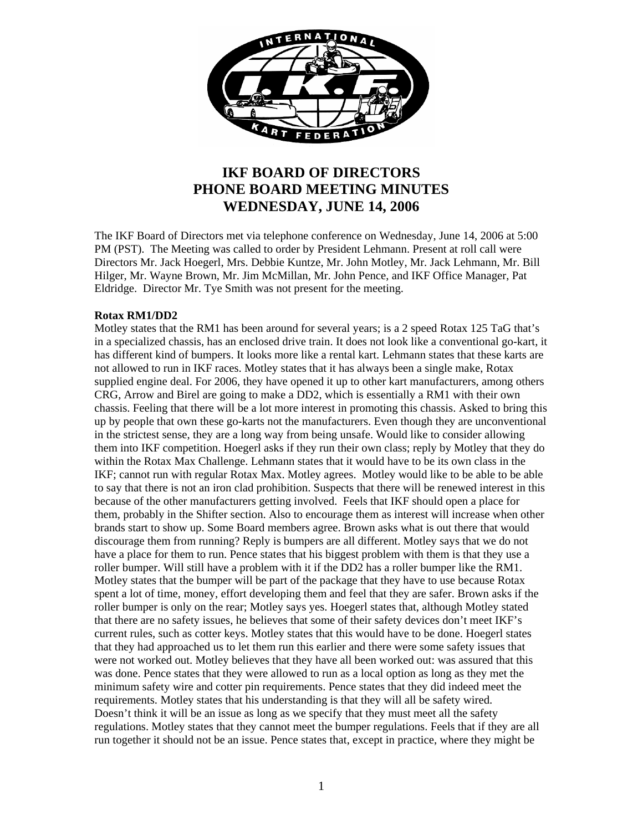

# **IKF BOARD OF DIRECTORS PHONE BOARD MEETING MINUTES WEDNESDAY, JUNE 14, 2006**

The IKF Board of Directors met via telephone conference on Wednesday, June 14, 2006 at 5:00 PM (PST). The Meeting was called to order by President Lehmann. Present at roll call were Directors Mr. Jack Hoegerl, Mrs. Debbie Kuntze, Mr. John Motley, Mr. Jack Lehmann, Mr. Bill Hilger, Mr. Wayne Brown, Mr. Jim McMillan, Mr. John Pence, and IKF Office Manager, Pat Eldridge. Director Mr. Tye Smith was not present for the meeting.

#### **Rotax RM1/DD2**

Motley states that the RM1 has been around for several years; is a 2 speed Rotax 125 TaG that's in a specialized chassis, has an enclosed drive train. It does not look like a conventional go-kart, it has different kind of bumpers. It looks more like a rental kart. Lehmann states that these karts are not allowed to run in IKF races. Motley states that it has always been a single make, Rotax supplied engine deal. For 2006, they have opened it up to other kart manufacturers, among others CRG, Arrow and Birel are going to make a DD2, which is essentially a RM1 with their own chassis. Feeling that there will be a lot more interest in promoting this chassis. Asked to bring this up by people that own these go-karts not the manufacturers. Even though they are unconventional in the strictest sense, they are a long way from being unsafe. Would like to consider allowing them into IKF competition. Hoegerl asks if they run their own class; reply by Motley that they do within the Rotax Max Challenge. Lehmann states that it would have to be its own class in the IKF; cannot run with regular Rotax Max. Motley agrees. Motley would like to be able to be able to say that there is not an iron clad prohibition. Suspects that there will be renewed interest in this because of the other manufacturers getting involved. Feels that IKF should open a place for them, probably in the Shifter section. Also to encourage them as interest will increase when other brands start to show up. Some Board members agree. Brown asks what is out there that would discourage them from running? Reply is bumpers are all different. Motley says that we do not have a place for them to run. Pence states that his biggest problem with them is that they use a roller bumper. Will still have a problem with it if the DD2 has a roller bumper like the RM1. Motley states that the bumper will be part of the package that they have to use because Rotax spent a lot of time, money, effort developing them and feel that they are safer. Brown asks if the roller bumper is only on the rear; Motley says yes. Hoegerl states that, although Motley stated that there are no safety issues, he believes that some of their safety devices don't meet IKF's current rules, such as cotter keys. Motley states that this would have to be done. Hoegerl states that they had approached us to let them run this earlier and there were some safety issues that were not worked out. Motley believes that they have all been worked out: was assured that this was done. Pence states that they were allowed to run as a local option as long as they met the minimum safety wire and cotter pin requirements. Pence states that they did indeed meet the requirements. Motley states that his understanding is that they will all be safety wired. Doesn't think it will be an issue as long as we specify that they must meet all the safety regulations. Motley states that they cannot meet the bumper regulations. Feels that if they are all run together it should not be an issue. Pence states that, except in practice, where they might be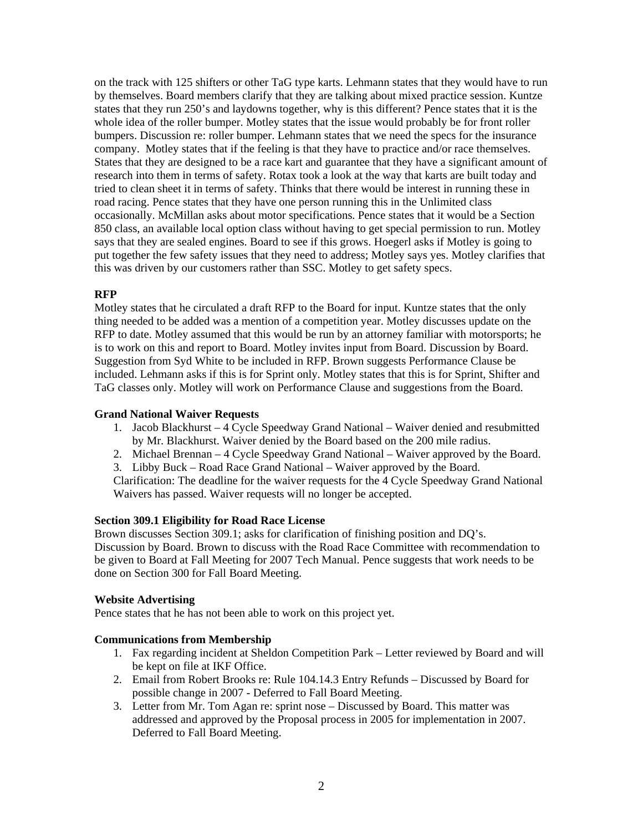on the track with 125 shifters or other TaG type karts. Lehmann states that they would have to run by themselves. Board members clarify that they are talking about mixed practice session. Kuntze states that they run 250's and laydowns together, why is this different? Pence states that it is the whole idea of the roller bumper. Motley states that the issue would probably be for front roller bumpers. Discussion re: roller bumper. Lehmann states that we need the specs for the insurance company. Motley states that if the feeling is that they have to practice and/or race themselves. States that they are designed to be a race kart and guarantee that they have a significant amount of research into them in terms of safety. Rotax took a look at the way that karts are built today and tried to clean sheet it in terms of safety. Thinks that there would be interest in running these in road racing. Pence states that they have one person running this in the Unlimited class occasionally. McMillan asks about motor specifications. Pence states that it would be a Section 850 class, an available local option class without having to get special permission to run. Motley says that they are sealed engines. Board to see if this grows. Hoegerl asks if Motley is going to put together the few safety issues that they need to address; Motley says yes. Motley clarifies that this was driven by our customers rather than SSC. Motley to get safety specs.

# **RFP**

Motley states that he circulated a draft RFP to the Board for input. Kuntze states that the only thing needed to be added was a mention of a competition year. Motley discusses update on the RFP to date. Motley assumed that this would be run by an attorney familiar with motorsports; he is to work on this and report to Board. Motley invites input from Board. Discussion by Board. Suggestion from Syd White to be included in RFP. Brown suggests Performance Clause be included. Lehmann asks if this is for Sprint only. Motley states that this is for Sprint, Shifter and TaG classes only. Motley will work on Performance Clause and suggestions from the Board.

# **Grand National Waiver Requests**

- 1. Jacob Blackhurst 4 Cycle Speedway Grand National Waiver denied and resubmitted by Mr. Blackhurst. Waiver denied by the Board based on the 200 mile radius.
- 2. Michael Brennan 4 Cycle Speedway Grand National Waiver approved by the Board.
- 3. Libby Buck Road Race Grand National Waiver approved by the Board.

Clarification: The deadline for the waiver requests for the 4 Cycle Speedway Grand National Waivers has passed. Waiver requests will no longer be accepted.

# **Section 309.1 Eligibility for Road Race License**

Brown discusses Section 309.1; asks for clarification of finishing position and DQ's. Discussion by Board. Brown to discuss with the Road Race Committee with recommendation to be given to Board at Fall Meeting for 2007 Tech Manual. Pence suggests that work needs to be done on Section 300 for Fall Board Meeting.

# **Website Advertising**

Pence states that he has not been able to work on this project yet.

# **Communications from Membership**

- 1. Fax regarding incident at Sheldon Competition Park Letter reviewed by Board and will be kept on file at IKF Office.
- 2. Email from Robert Brooks re: Rule 104.14.3 Entry Refunds Discussed by Board for possible change in 2007 - Deferred to Fall Board Meeting.
- 3. Letter from Mr. Tom Agan re: sprint nose Discussed by Board. This matter was addressed and approved by the Proposal process in 2005 for implementation in 2007. Deferred to Fall Board Meeting.